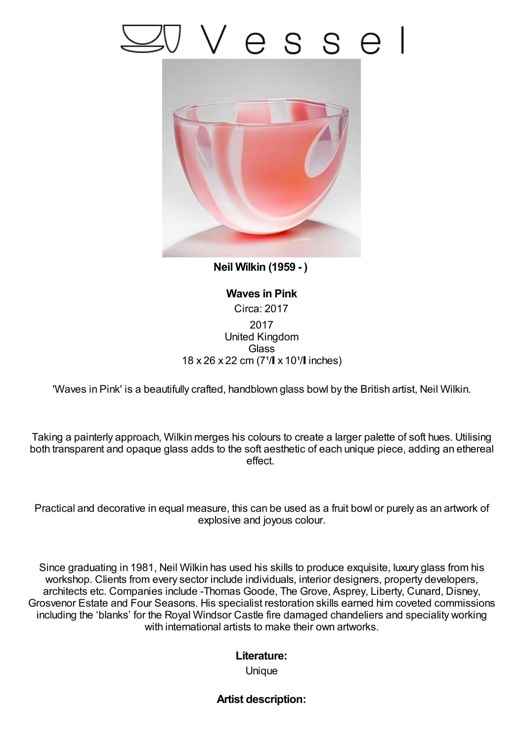## Vesse



**Neil Wilkin (1959 - )**

**Waves in Pink** Circa: 2017 2017 United Kingdom **Glass** 18 x 26 x 22 cm (7<sup>1</sup>/ x 10<sup>1</sup>/ linches)

'Waves in Pink' is a beautifully crafted, handblown glass bowl by the British artist, Neil Wilkin.

Taking a painterly approach, Wilkin merges his colours to create a larger palette of soft hues. Utilising both transparent and opaque glass adds to the soft aesthetic of each unique piece, adding an ethereal effect.

Practical and decorative in equal measure, this can be used as a fruit bowl or purely as an artwork of explosive and joyous colour.

Since graduating in 1981, Neil Wilkin has used his skills to produce exquisite, luxury glass from his workshop. Clients from every sector include individuals, interior designers, property developers, architects etc. Companies include -Thomas Goode, The Grove, Asprey, Liberty, Cunard, Disney, Grosvenor Estate and Four Seasons. His specialist restoration skills earned him coveted commissions including the 'blanks' for the Royal Windsor Castle fire damaged chandeliers and speciality working with international artists to make their own artworks.

## **Literature:**

Unique

## **Artist description:**